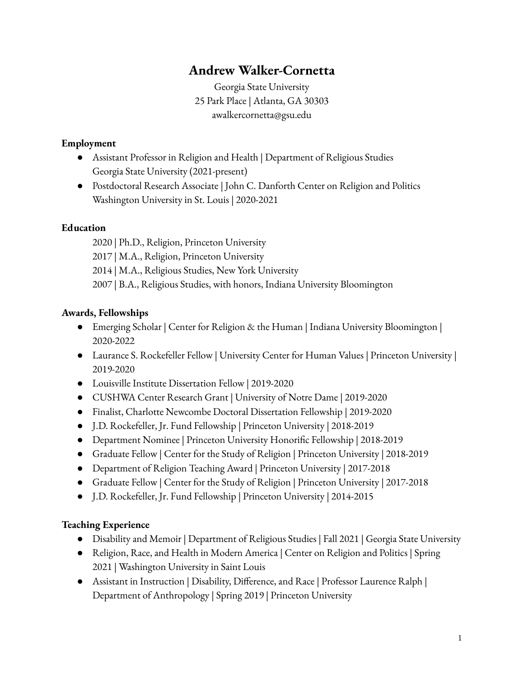# **Andrew Walker-Cornetta**

Georgia State University 25 Park Place | Atlanta, GA 30303 awalkercornetta@gsu.edu

#### **Employment**

- Assistant Professor in Religion and Health | Department of Religious Studies Georgia State University (2021-present)
- Postdoctoral Research Associate | John C. Danforth Center on Religion and Politics Washington University in St. Louis | 2020-2021

#### **Education**

 | Ph.D., Religion, Princeton University | M.A., Religion, Princeton University | M.A., Religious Studies, New York University | B.A., Religious Studies, with honors, Indiana University Bloomington

#### **Awards, Fellowships**

- Emerging Scholar | Center for Religion & the Human | Indiana University Bloomington | 2020-2022
- Laurance S. Rockefeller Fellow | University Center for Human Values | Princeton University | 2019-2020
- Louisville Institute Dissertation Fellow | 2019-2020
- CUSHWA Center Research Grant | University of Notre Dame | 2019-2020
- Finalist, Charlotte Newcombe Doctoral Dissertation Fellowship | 2019-2020
- J.D. Rockefeller, Jr. Fund Fellowship | Princeton University | 2018-2019
- Department Nominee | Princeton University Honorific Fellowship | 2018-2019
- Graduate Fellow | Center for the Study of Religion | Princeton University | 2018-2019
- Department of Religion Teaching Award | Princeton University | 2017-2018
- Graduate Fellow | Center for the Study of Religion | Princeton University | 2017-2018
- J.D. Rockefeller, Jr. Fund Fellowship | Princeton University | 2014-2015

#### **Teaching Experience**

- Disability and Memoir | Department of Religious Studies | Fall 2021 | Georgia State University
- Religion, Race, and Health in Modern America | Center on Religion and Politics | Spring 2021 | Washington University in Saint Louis
- Assistant in Instruction | Disability, Difference, and Race | Professor Laurence Ralph | Department of Anthropology | Spring 2019 | Princeton University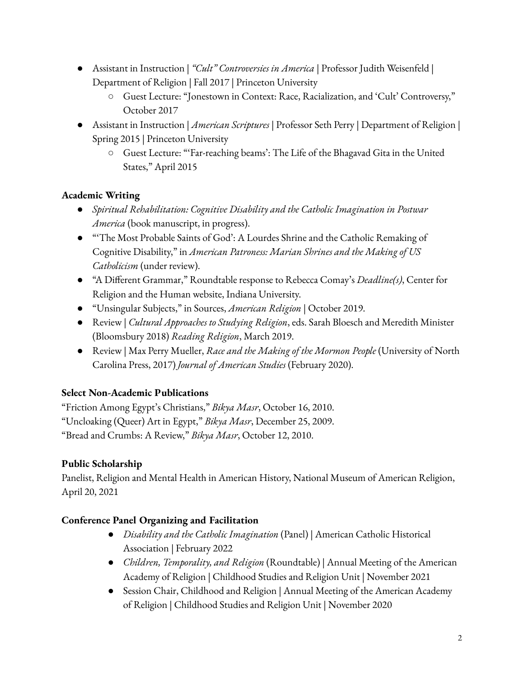- Assistant in Instruction | *"Cult" Controversies in America* | Professor Judith Weisenfeld | Department of Religion | Fall 2017 | Princeton University
	- Guest Lecture: "Jonestown in Context: Race, Racialization, and 'Cult' Controversy," October 2017
- Assistant in Instruction | *American Scriptures* | Professor Seth Perry | Department of Religion | Spring 2015 | Princeton University
	- Guest Lecture: "'Far-reaching beams': The Life of the Bhagavad Gita in the United States," April 2015

## **Academic Writing**

- *● Spiritual Rehabilitation: Cognitive Disability and the Catholic Imagination in Postwar America* (book manuscript, in progress).
- "'The Most Probable Saints of God': A Lourdes Shrine and the Catholic Remaking of Cognitive Disability," in *American Patroness: Marian Shrines and the Making of US Catholicism* (under review).
- "A Different Grammar," Roundtable response to Rebecca Comay's *Deadline(s)*, Center for Religion and the Human website, Indiana University.
- "Unsingular Subjects," in Sources, *American Religion* | October 2019.
- Review | *Cultural Approaches to Studying Religion*, eds. Sarah Bloesch and Meredith Minister (Bloomsbury 2018) *Reading Religion*, March 2019.
- Review | Max Perry Mueller, *Race and the Making of the Mormon People* (University of North Carolina Press, 2017) *Journal of American Studies* (February 2020).

## **Select Non-Academic Publications**

"Friction Among Egypt's Christians," *Bikya Masr*, October 16, 2010. "Uncloaking (Queer) Art in Egypt," *Bikya Masr*, December 25, 2009. "Bread and Crumbs: A Review," *Bikya Masr*, October 12, 2010.

## **Public Scholarship**

Panelist, Religion and Mental Health in American History, National Museum of American Religion, April 20, 2021

## **Conference Panel Organizing and Facilitation**

- *Disability and the Catholic Imagination* (Panel) | American Catholic Historical Association | February 2022
- *Children, Temporality, and Religion* (Roundtable) | Annual Meeting of the American Academy of Religion | Childhood Studies and Religion Unit | November 2021
- Session Chair, Childhood and Religion | Annual Meeting of the American Academy of Religion | Childhood Studies and Religion Unit | November 2020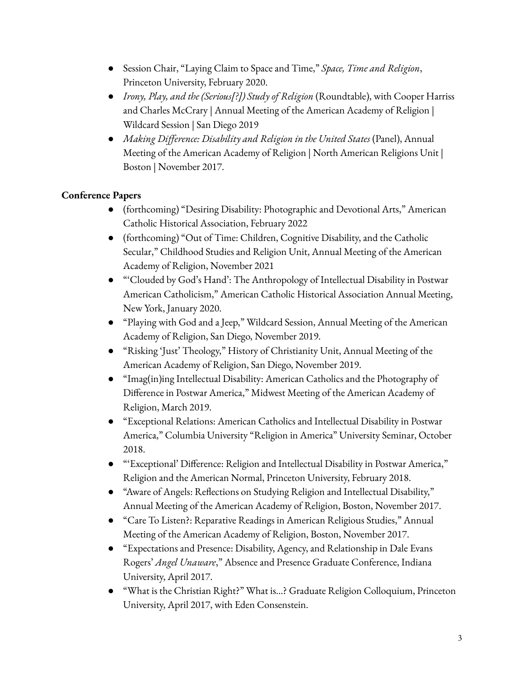- Session Chair, "Laying Claim to Space and Time," *Space, Time and Religion*, Princeton University, February 2020.
- *Irony, Play, and the (Serious[?]) Study of Religion* (Roundtable), with Cooper Harriss and Charles McCrary | Annual Meeting of the American Academy of Religion | Wildcard Session | San Diego 2019
- *Making Difference: Disability and Religion in the United States* (Panel), Annual Meeting of the American Academy of Religion | North American Religions Unit | Boston | November 2017.

## **Conference Papers**

- (forthcoming) "Desiring Disability: Photographic and Devotional Arts," American Catholic Historical Association, February 2022
- (forthcoming) "Out of Time: Children, Cognitive Disability, and the Catholic Secular," Childhood Studies and Religion Unit, Annual Meeting of the American Academy of Religion, November 2021
- "'Clouded by God's Hand': The Anthropology of Intellectual Disability in Postwar American Catholicism," American Catholic Historical Association Annual Meeting, New York, January 2020.
- "Playing with God and a Jeep," Wildcard Session, Annual Meeting of the American Academy of Religion, San Diego, November 2019.
- "Risking 'Just' Theology," History of Christianity Unit, Annual Meeting of the American Academy of Religion, San Diego, November 2019.
- "Imag(in)ing Intellectual Disability: American Catholics and the Photography of Difference in Postwar America," Midwest Meeting of the American Academy of Religion, March 2019.
- "Exceptional Relations: American Catholics and Intellectual Disability in Postwar America," Columbia University "Religion in America" University Seminar, October 2018.
- "'Exceptional' Difference: Religion and Intellectual Disability in Postwar America," Religion and the American Normal, Princeton University, February 2018.
- "Aware of Angels: Reflections on Studying Religion and Intellectual Disability," Annual Meeting of the American Academy of Religion, Boston, November 2017.
- "Care To Listen?: Reparative Readings in American Religious Studies," Annual Meeting of the American Academy of Religion, Boston, November 2017.
- "Expectations and Presence: Disability, Agency, and Relationship in Dale Evans Rogers' *Angel Unaware*," Absence and Presence Graduate Conference, Indiana University, April 2017.
- "What is the Christian Right?" What is…? Graduate Religion Colloquium, Princeton University, April 2017, with Eden Consenstein.